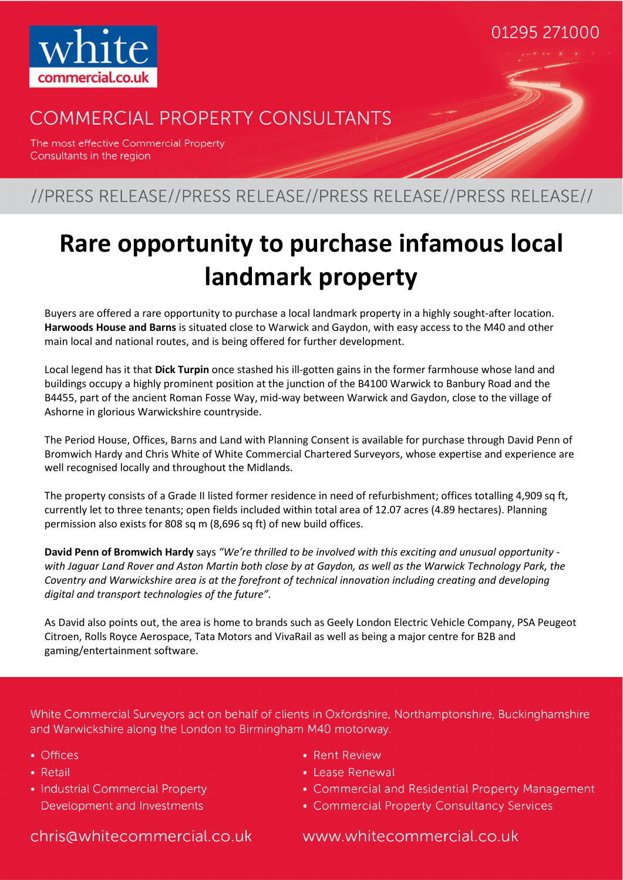

### **COMMERCIAL PROPERTY CONSULTANTS**

The most effective Commercial Property Consultants in the region

### //PRESS RELEASE//PRESS RELEASE//PRESS RELEASE//PRESS RELEASE//

# **Rare opportunity to purchase infamous local landmark property**

Buyers are offered a rare opportunity to purchase a local landmark property in a highly sought-after location. **Harwoods House and Barns** is situated close to Warwick and Gaydon, with easy access to the M40 and other main local and national routes, and is being offered for further development.

Local legend has it that **Dick Turpin** once stashed his ill-gotten gains in the former farmhouse whose land and buildings occupy a highly prominent position at the junction of the B4100 Warwick to Banbury Road and the B4455, part of the ancient Roman Fosse Way, mid-way between Warwick and Gaydon, close to the village of Ashorne in glorious Warwickshire countryside.

The Period House, Offices, Barns and Land with Planning Consent is available for purchase through David Penn of Bromwich Hardy and Chris White of White Commercial Chartered Surveyors, whose expertise and experience are well recognised locally and throughout the Midlands.

The property consists of a Grade II listed former residence in need of refurbishment; offices totalling 4,909 sq ft, currently let to three tenants; open fields included within total area of 12.07 acres (4.89 hectares). Planning permission also exists for 808 sq m (8,696 sq ft) of new build offices.

**David Penn of Bromwich Hardy** says *"We're thrilled to be involved with this exciting and unusual opportunity with Jaguar Land Rover and Aston Martin both close by at Gaydon, as well as the Warwick Technology Park, the Coventry and Warwickshire area is at the forefront of technical innovation including creating and developing digital and transport technologies of the future".* 

As David also points out, the area is home to brands such as Geely London Electric Vehicle Company, PSA Peugeot Citroen, Rolls Royce Aerospace, Tata Motors and VivaRail as well as being a major centre for B2B and gaming/entertainment software.

White Commercial Surveyors act on behalf of clients in Oxfordshire, Northamptonshire, Buckinghamshire and Warwickshire along the London to Birmingham M40 motorway.

- Offices
- Retail
- Industrial Commercial Property Development and Investments
- Rent Review
- Lease Renewal
- Commercial and Residential Property Management

01295 271000

• Commercial Property Consultancy Services

chris@whitecommercial.co.uk

www.whitecommercial.co.uk